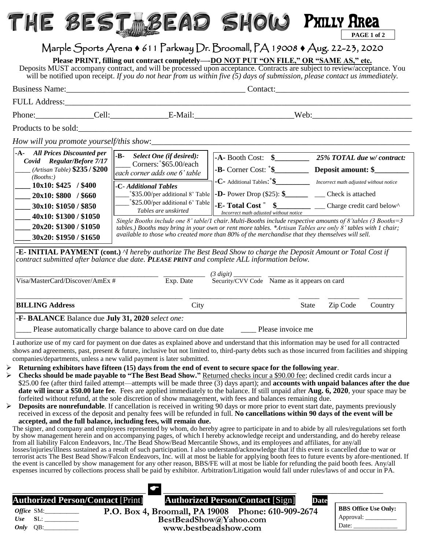## THE BEST BEAD SHOW **PAGE 1 of 2** Philly Area

## Marple Sports Arena 611 Parkway Dr. Broomall, PA 19008 Aug. 22-23, 2020

**Please PRINT, filling out contract completely—-DO NOT PUT "ON FILE," OR "SAME AS," etc.**

Deposits MUST accompany contract, and will be processed upon acceptance. Contracts are subject to review/acceptance. You will be notified upon receipt. If you do not hear from us within five (5) days of submission, please contact us immediately.

|                                                                                                                                                                                                                                                                                                                                                                            | Phone: Cell: Cell: E-Mail: E-Mail: Web: Web:                                                                                                                                                 |                                                                                                                                                                                                                                                                                                                                                                                                                                                                                                                                                                                                                        |                            |  |
|----------------------------------------------------------------------------------------------------------------------------------------------------------------------------------------------------------------------------------------------------------------------------------------------------------------------------------------------------------------------------|----------------------------------------------------------------------------------------------------------------------------------------------------------------------------------------------|------------------------------------------------------------------------------------------------------------------------------------------------------------------------------------------------------------------------------------------------------------------------------------------------------------------------------------------------------------------------------------------------------------------------------------------------------------------------------------------------------------------------------------------------------------------------------------------------------------------------|----------------------------|--|
|                                                                                                                                                                                                                                                                                                                                                                            | Products to be sold:                                                                                                                                                                         |                                                                                                                                                                                                                                                                                                                                                                                                                                                                                                                                                                                                                        |                            |  |
|                                                                                                                                                                                                                                                                                                                                                                            |                                                                                                                                                                                              |                                                                                                                                                                                                                                                                                                                                                                                                                                                                                                                                                                                                                        |                            |  |
| -A- All Prices Discounted per<br>Covid Regular/Before 7/17<br>(Artisan Table) $$235/$200$<br>(Booths.)<br>$10x10: $425$ / \$400<br>$20x10:$ \$800 / \$660<br>30x10: \$1050 / \$850<br>40x10: \$1300 / \$1050<br>20x20: \$1300 / \$1050<br>30x20: \$1950 / \$1650                                                                                                           | $-B-$<br><b>Select One (if desired):</b><br>Corners: $$65.00$ /each<br>each corner adds one 6' table<br>-C- Additional Tables<br>$*$ \$25.00/per additional 6' Table<br>Tables are unskirted | $-A$ - Booth Cost: $\quad \quad$<br><b>-C</b> - Additional Tables: $\frac{1}{2}$ <i>Incorrect math adjusted without notice</i><br>$*$ \$35.00/per additional 8' Table   -D- Power Drop (\$25): \$_________ ____ Check is attached<br>Incorrect math adjusted without notice<br>Single Booths include one 8' table/1 chair. Multi-Booths include respective amounts of 8' tables (3 Booths = 3<br>tables.) Booths may bring in your own or rent more tables. *Artisan Tables are only $\delta'$ tables with 1 chair;<br>available to those who created more than 80% of the merchandise that they themselves will sell. | 25% TOTAL due w/ contract: |  |
| <b>-E- INITIAL PAYMENT</b> (cont.) <sup><i>N</i></sup> hereby authorize The Best Bead Show to charge the Deposit Amount or Total Cost if<br>contract submitted after balance due date. PLEASE PRINT and complete ALL information below.<br>$(3 \; digit)$ ___<br>$\overline{Exp. Date}$<br>Security/CVV Code Name as it appears on card<br>Visa/MasterCard/Discover/AmEx # |                                                                                                                                                                                              |                                                                                                                                                                                                                                                                                                                                                                                                                                                                                                                                                                                                                        |                            |  |
| <b>BILLING Address</b>                                                                                                                                                                                                                                                                                                                                                     | City                                                                                                                                                                                         | State                                                                                                                                                                                                                                                                                                                                                                                                                                                                                                                                                                                                                  | Zip Code<br>Country        |  |
| -F- BALANCE Balance due July 31, 2020 select one:                                                                                                                                                                                                                                                                                                                          | Please automatically charge balance to above card on due date                                                                                                                                | Please invoice me                                                                                                                                                                                                                                                                                                                                                                                                                                                                                                                                                                                                      |                            |  |

I authorize use of my card for payment on due dates as explained above and understand that this information may be used for all contracted shows and agreements, past, present & future, inclusive but not limited to, third-party debts such as those incurred from facilities and shipping companies/departments, unless a new valid payment is later submitted.

- **Returning exhibitors have fifteen (15) days from the end of event to secure space for the following year**.
- **Checks should be made payable to "The Best Bead Show."** Returned checks incur a \$90.00 fee; declined credit cards incur a \$25.00 fee (after third failed attempt—attempts will be made three (3) days apart); and **accounts with unpaid balances after the due date will incur a \$50.00 late fee**. Fees are applied immediately to the balance. If still unpaid after **Aug. 6, 2020**, your space may be forfeited without refund, at the sole discretion of show management, with fees and balances remaining due.
- **Deposits are nonrefundable**. If cancellation is received in writing 90 days or more prior to event start date, payments previously received in excess of the deposit and penalty fees will be refunded in full. **No cancellations within 90 days of the event will be accepted, and the full balance, including fees, will remain due.**

The signer, and company and employees represented by whom, do hereby agree to participate in and to abide by all rules/regulations set forth by show management herein and on accompanying pages, of which I hereby acknowledge receipt and understanding, and do hereby release from all liability Falcon Endeavors, Inc./The Bead Show/Bead Mercantile Shows, and its employees and affiliates, for any/all losses/injuries/illness sustained as a result of such participation. I also understand/acknowledge that if this event is cancelled due to war or terrorist acts The Best Bead Show/Falcon Endeavors, Inc. will at most be liable for applying booth fees to future events by afore-mentioned. If the event is cancelled by show management for any other reason, BBS/FE will at most be liable for refunding the paid booth fees. Any/all expenses incurred by collections process shall be paid by exhibitor. Arbitration/Litigation would fall under rules/laws of and occur in PA.

| <b>Authorized Person/Contact [Print]</b> | <b>Authorized Person/Contact [Sign]</b><br><b>Date</b> |                             |
|------------------------------------------|--------------------------------------------------------|-----------------------------|
| <i>Office</i> SM:                        | P.O. Box 4, Broomall, PA 19008 Phone: 610-909-2674     | <b>BBS Office Use Only:</b> |
| Use                                      | BestBeadShow@Yahoo.com                                 | Approval:                   |
| <i>Only</i> $QB$ :                       | www.bestbeadshow.com                                   | Date:                       |
|                                          |                                                        |                             |